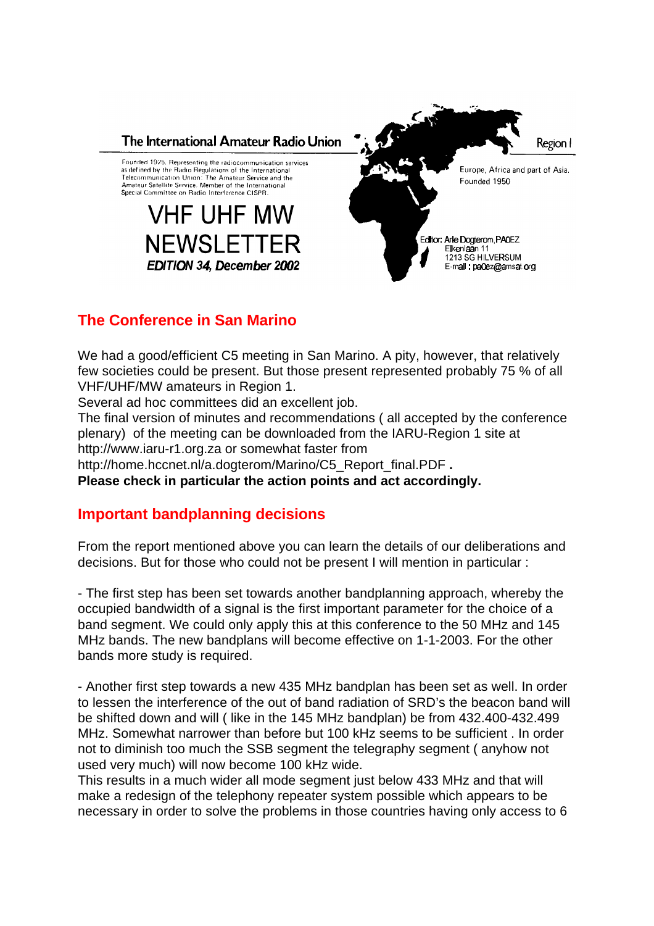

# **The Conference in San Marino**

We had a good/efficient C5 meeting in San Marino. A pity, however, that relatively few societies could be present. But those present represented probably 75 % of all VHF/UHF/MW amateurs in Region 1.

Several ad hoc committees did an excellent job.

The final version of minutes and recommendations ( all accepted by the conference plenary) of the meeting can be downloaded from the IARU-Region 1 site at http://www.iaru-r1.org.za or somewhat faster from http://home.hccnet.nl/a.dogterom/Marino/C5\_Report\_final.PDF **.** 

**Please check in particular the action points and act accordingly.**

### **Important bandplanning decisions**

From the report mentioned above you can learn the details of our deliberations and decisions. But for those who could not be present I will mention in particular :

- The first step has been set towards another bandplanning approach, whereby the occupied bandwidth of a signal is the first important parameter for the choice of a band segment. We could only apply this at this conference to the 50 MHz and 145 MHz bands. The new bandplans will become effective on 1-1-2003. For the other bands more study is required.

- Another first step towards a new 435 MHz bandplan has been set as well. In order to lessen the interference of the out of band radiation of SRD's the beacon band will be shifted down and will ( like in the 145 MHz bandplan) be from 432.400-432.499 MHz. Somewhat narrower than before but 100 kHz seems to be sufficient . In order not to diminish too much the SSB segment the telegraphy segment ( anyhow not used very much) will now become 100 kHz wide.

This results in a much wider all mode segment just below 433 MHz and that will make a redesign of the telephony repeater system possible which appears to be necessary in order to solve the problems in those countries having only access to 6